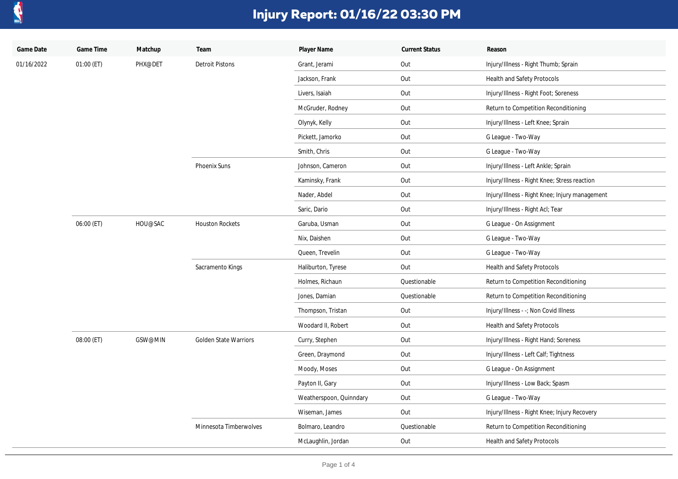

| Game Date  | Game Time  | Matchup | Team                         | Player Name             | <b>Current Status</b> | Reason                                         |
|------------|------------|---------|------------------------------|-------------------------|-----------------------|------------------------------------------------|
| 01/16/2022 | 01:00 (ET) | PHX@DET | <b>Detroit Pistons</b>       | Grant, Jerami           | Out                   | Injury/Illness - Right Thumb; Sprain           |
|            |            |         |                              | Jackson, Frank          | Out                   | Health and Safety Protocols                    |
|            |            |         |                              | Livers, Isaiah          | Out                   | Injury/Illness - Right Foot; Soreness          |
|            |            |         |                              | McGruder, Rodney        | Out                   | Return to Competition Reconditioning           |
|            |            |         |                              | Olynyk, Kelly           | Out                   | Injury/Illness - Left Knee; Sprain             |
|            |            |         |                              | Pickett, Jamorko        | Out                   | G League - Two-Way                             |
|            |            |         |                              | Smith, Chris            | Out                   | G League - Two-Way                             |
|            |            |         | Phoenix Suns                 | Johnson, Cameron        | Out                   | Injury/Illness - Left Ankle; Sprain            |
|            |            |         |                              | Kaminsky, Frank         | Out                   | Injury/Illness - Right Knee; Stress reaction   |
|            |            |         |                              | Nader, Abdel            | Out                   | Injury/Illness - Right Knee; Injury management |
|            |            |         |                              | Saric, Dario            | Out                   | Injury/Illness - Right Acl; Tear               |
|            | 06:00 (ET) | HOU@SAC | <b>Houston Rockets</b>       | Garuba, Usman           | Out                   | G League - On Assignment                       |
|            |            |         |                              | Nix, Daishen            | Out                   | G League - Two-Way                             |
|            |            |         |                              | Queen, Trevelin         | Out                   | G League - Two-Way                             |
|            |            |         | Sacramento Kings             | Haliburton, Tyrese      | Out                   | Health and Safety Protocols                    |
|            |            |         |                              | Holmes, Richaun         | Questionable          | Return to Competition Reconditioning           |
|            |            |         |                              | Jones, Damian           | Questionable          | Return to Competition Reconditioning           |
|            |            |         |                              | Thompson, Tristan       | Out                   | Injury/Illness - -; Non Covid Illness          |
|            |            |         |                              | Woodard II, Robert      | Out                   | Health and Safety Protocols                    |
|            | 08:00 (ET) | GSW@MIN | <b>Golden State Warriors</b> | Curry, Stephen          | Out                   | Injury/Illness - Right Hand; Soreness          |
|            |            |         |                              | Green, Draymond         | Out                   | Injury/Illness - Left Calf; Tightness          |
|            |            |         |                              | Moody, Moses            | Out                   | G League - On Assignment                       |
|            |            |         |                              | Payton II, Gary         | Out                   | Injury/Illness - Low Back; Spasm               |
|            |            |         |                              | Weatherspoon, Quinndary | Out                   | G League - Two-Way                             |
|            |            |         |                              | Wiseman, James          | Out                   | Injury/Illness - Right Knee; Injury Recovery   |
|            |            |         | Minnesota Timberwolves       | Bolmaro, Leandro        | Questionable          | Return to Competition Reconditioning           |
|            |            |         |                              | McLaughlin, Jordan      | Out                   | Health and Safety Protocols                    |
|            |            |         |                              |                         |                       |                                                |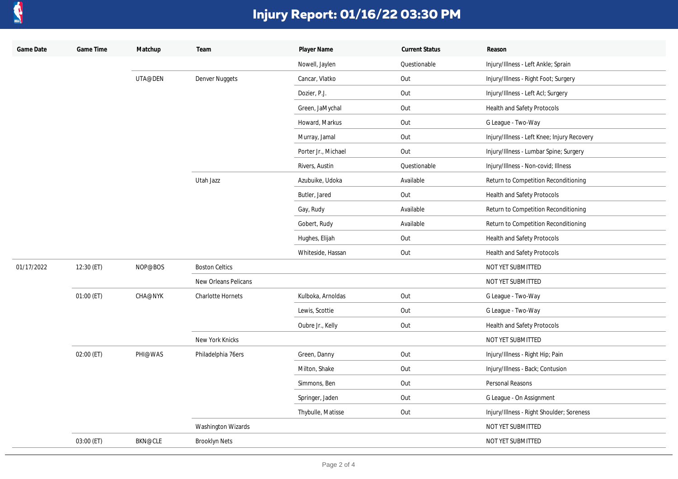

| Game Date  | Game Time  | Matchup        | Team                  | Player Name         | <b>Current Status</b> | Reason                                      |
|------------|------------|----------------|-----------------------|---------------------|-----------------------|---------------------------------------------|
|            |            |                |                       | Nowell, Jaylen      | Questionable          | Injury/Illness - Left Ankle; Sprain         |
|            |            | UTA@DEN        | Denver Nuggets        | Cancar, Vlatko      | Out                   | Injury/Illness - Right Foot; Surgery        |
|            |            |                |                       | Dozier, P.J.        | Out                   | Injury/Illness - Left Acl; Surgery          |
|            |            |                |                       | Green, JaMychal     | Out                   | Health and Safety Protocols                 |
|            |            |                |                       | Howard, Markus      | Out                   | G League - Two-Way                          |
|            |            |                |                       | Murray, Jamal       | Out                   | Injury/Illness - Left Knee; Injury Recovery |
|            |            |                |                       | Porter Jr., Michael | Out                   | Injury/Illness - Lumbar Spine; Surgery      |
|            |            |                |                       | Rivers, Austin      | Questionable          | Injury/Illness - Non-covid; Illness         |
|            |            |                | Utah Jazz             | Azubuike, Udoka     | Available             | Return to Competition Reconditioning        |
|            |            |                |                       | Butler, Jared       | Out                   | Health and Safety Protocols                 |
|            |            |                |                       | Gay, Rudy           | Available             | Return to Competition Reconditioning        |
|            |            |                |                       | Gobert, Rudy        | Available             | Return to Competition Reconditioning        |
|            |            |                |                       | Hughes, Elijah      | Out                   | Health and Safety Protocols                 |
|            |            |                |                       | Whiteside, Hassan   | Out                   | Health and Safety Protocols                 |
| 01/17/2022 | 12:30 (ET) | NOP@BOS        | <b>Boston Celtics</b> |                     |                       | NOT YET SUBMITTED                           |
|            |            |                | New Orleans Pelicans  |                     |                       | NOT YET SUBMITTED                           |
|            | 01:00 (ET) | <b>CHA@NYK</b> | Charlotte Hornets     | Kulboka, Arnoldas   | Out                   | G League - Two-Way                          |
|            |            |                |                       | Lewis, Scottie      | Out                   | G League - Two-Way                          |
|            |            |                |                       | Oubre Jr., Kelly    | Out                   | Health and Safety Protocols                 |
|            |            |                | New York Knicks       |                     |                       | NOT YET SUBMITTED                           |
|            | 02:00 (ET) | PHI@WAS        | Philadelphia 76ers    | Green, Danny        | Out                   | Injury/Illness - Right Hip; Pain            |
|            |            |                |                       | Milton, Shake       | Out                   | Injury/Illness - Back; Contusion            |
|            |            |                |                       | Simmons, Ben        | Out                   | Personal Reasons                            |
|            |            |                |                       | Springer, Jaden     | Out                   | G League - On Assignment                    |
|            |            |                |                       | Thybulle, Matisse   | Out                   | Injury/Illness - Right Shoulder; Soreness   |
|            |            |                | Washington Wizards    |                     |                       | NOT YET SUBMITTED                           |
|            | 03:00 (ET) | <b>BKN@CLE</b> | <b>Brooklyn Nets</b>  |                     |                       | NOT YET SUBMITTED                           |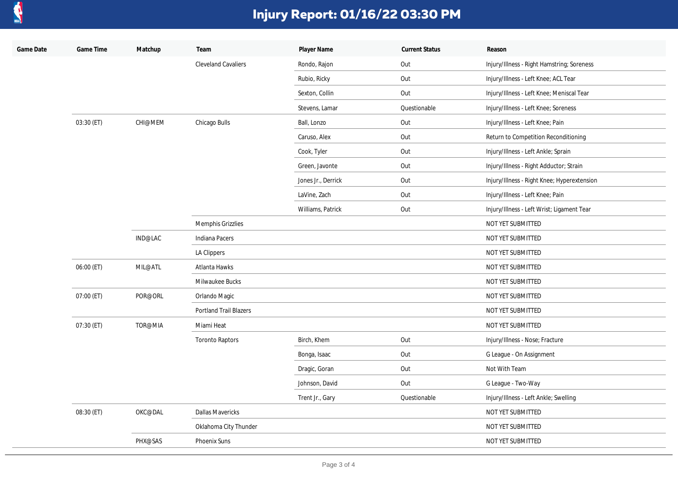

| Game Date | Game Time  | Matchup | Team                       | Player Name        | <b>Current Status</b> | Reason                                      |
|-----------|------------|---------|----------------------------|--------------------|-----------------------|---------------------------------------------|
|           |            |         | <b>Cleveland Cavaliers</b> | Rondo, Rajon       | Out                   | Injury/Illness - Right Hamstring; Soreness  |
|           |            |         |                            | Rubio, Ricky       | Out                   | Injury/Illness - Left Knee; ACL Tear        |
|           |            |         |                            | Sexton, Collin     | Out                   | Injury/Illness - Left Knee; Meniscal Tear   |
|           |            |         |                            | Stevens, Lamar     | Questionable          | Injury/Illness - Left Knee; Soreness        |
|           | 03:30 (ET) | CHI@MEM | Chicago Bulls              | Ball, Lonzo        | Out                   | Injury/Illness - Left Knee; Pain            |
|           |            |         |                            | Caruso, Alex       | Out                   | Return to Competition Reconditioning        |
|           |            |         |                            | Cook, Tyler        | Out                   | Injury/Illness - Left Ankle; Sprain         |
|           |            |         |                            | Green, Javonte     | Out                   | Injury/Illness - Right Adductor; Strain     |
|           |            |         |                            | Jones Jr., Derrick | Out                   | Injury/Illness - Right Knee; Hyperextension |
|           |            |         |                            | LaVine, Zach       | Out                   | Injury/Illness - Left Knee; Pain            |
|           |            |         |                            | Williams, Patrick  | Out                   | Injury/Illness - Left Wrist; Ligament Tear  |
|           |            |         | Memphis Grizzlies          |                    |                       | NOT YET SUBMITTED                           |
|           |            | IND@LAC | Indiana Pacers             |                    |                       | NOT YET SUBMITTED                           |
|           |            |         | LA Clippers                |                    |                       | NOT YET SUBMITTED                           |
|           | 06:00 (ET) | MIL@ATL | Atlanta Hawks              |                    |                       | NOT YET SUBMITTED                           |
|           |            |         | Milwaukee Bucks            |                    |                       | NOT YET SUBMITTED                           |
|           | 07:00 (ET) | POR@ORL | Orlando Magic              |                    |                       | NOT YET SUBMITTED                           |
|           |            |         | Portland Trail Blazers     |                    |                       | NOT YET SUBMITTED                           |
|           | 07:30 (ET) | TOR@MIA | Miami Heat                 |                    |                       | NOT YET SUBMITTED                           |
|           |            |         | <b>Toronto Raptors</b>     | Birch, Khem        | Out                   | Injury/Illness - Nose; Fracture             |
|           |            |         |                            | Bonga, Isaac       | Out                   | G League - On Assignment                    |
|           |            |         |                            | Dragic, Goran      | Out                   | Not With Team                               |
|           |            |         |                            | Johnson, David     | Out                   | G League - Two-Way                          |
|           |            |         |                            | Trent Jr., Gary    | Questionable          | Injury/Illness - Left Ankle; Swelling       |
|           | 08:30 (ET) | OKC@DAL | <b>Dallas Mavericks</b>    |                    |                       | NOT YET SUBMITTED                           |
|           |            |         | Oklahoma City Thunder      |                    |                       | NOT YET SUBMITTED                           |
|           |            | PHX@SAS | <b>Phoenix Suns</b>        |                    |                       | NOT YET SUBMITTED                           |
|           |            |         |                            |                    |                       |                                             |